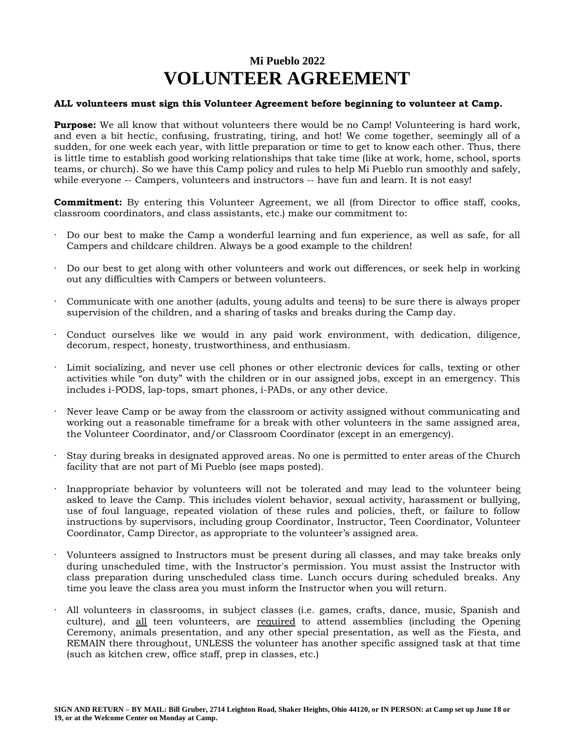## **Mi Pueblo 2022 VOLUNTEER AGREEMENT**

## **ALL volunteers must sign this Volunteer Agreement before beginning to volunteer at Camp.**

**Purpose:** We all know that without volunteers there would be no Camp! Volunteering is hard work, and even a bit hectic, confusing, frustrating, tiring, and hot! We come together, seemingly all of a sudden, for one week each year, with little preparation or time to get to know each other. Thus, there is little time to establish good working relationships that take time (like at work, home, school, sports teams, or church). So we have this Camp policy and rules to help Mi Pueblo run smoothly and safely, while everyone -- Campers, volunteers and instructors -- have fun and learn. It is not easy!

**Commitment:** By entering this Volunteer Agreement, we all (from Director to office staff, cooks, classroom coordinators, and class assistants, etc.) make our commitment to:

- · Do our best to make the Camp a wonderful learning and fun experience, as well as safe, for all Campers and childcare children. Always be a good example to the children!
- · Do our best to get along with other volunteers and work out differences, or seek help in working out any difficulties with Campers or between volunteers.
- · Communicate with one another (adults, young adults and teens) to be sure there is always proper supervision of the children, and a sharing of tasks and breaks during the Camp day.
- Conduct ourselves like we would in any paid work environment, with dedication, diligence, decorum, respect, honesty, trustworthiness, and enthusiasm.
- Limit socializing, and never use cell phones or other electronic devices for calls, texting or other activities while "on duty" with the children or in our assigned jobs, except in an emergency. This includes i-PODS, lap-tops, smart phones, i-PADs, or any other device.
- · Never leave Camp or be away from the classroom or activity assigned without communicating and working out a reasonable timeframe for a break with other volunteers in the same assigned area, the Volunteer Coordinator, and/or Classroom Coordinator (except in an emergency).
- · Stay during breaks in designated approved areas. No one is permitted to enter areas of the Church facility that are not part of Mi Pueblo (see maps posted).
- Inappropriate behavior by volunteers will not be tolerated and may lead to the volunteer being asked to leave the Camp. This includes violent behavior, sexual activity, harassment or bullying, use of foul language, repeated violation of these rules and policies, theft, or failure to follow instructions by supervisors, including group Coordinator, Instructor, Teen Coordinator, Volunteer Coordinator, Camp Director, as appropriate to the volunteer's assigned area.
- · Volunteers assigned to Instructors must be present during all classes, and may take breaks only during unscheduled time, with the Instructor's permission. You must assist the Instructor with class preparation during unscheduled class time. Lunch occurs during scheduled breaks. Any time you leave the class area you must inform the Instructor when you will return.
- · All volunteers in classrooms, in subject classes (i.e. games, crafts, dance, music, Spanish and culture), and all teen volunteers, are required to attend assemblies (including the Opening Ceremony, animals presentation, and any other special presentation, as well as the Fiesta, and REMAIN there throughout, UNLESS the volunteer has another specific assigned task at that time (such as kitchen crew, office staff, prep in classes, etc.)